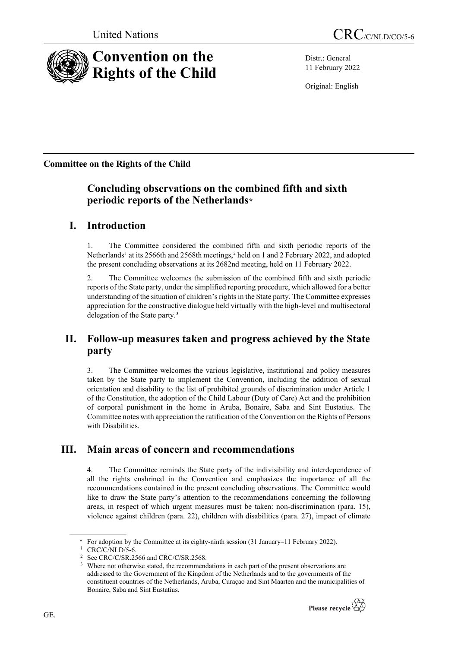

Distr.: General 11 February 2022

Original: English

**Committee on the Rights of the Child**

# **Concluding observations on the combined fifth and sixth periodic reports of the Netherlands[\\*](#page-0-0)**

# **I. Introduction**

1. The Committee considered the combined fifth and sixth periodic reports of the Netherlands<sup>[1](#page-0-1)</sup> at its [2](#page-0-2)566th and 2568th meetings,<sup>2</sup> held on 1 and 2 February 2022, and adopted the present concluding observations at its 2682nd meeting, held on 11 February 2022.

2. The Committee welcomes the submission of the combined fifth and sixth periodic reports of the State party, under the simplified reporting procedure, which allowed for a better understanding of the situation of children's rights in the State party. The Committee expresses appreciation for the constructive dialogue held virtually with the high-level and multisectoral delegation of the State party.[3](#page-0-3)

# **II. Follow-up measures taken and progress achieved by the State party**

3. The Committee welcomes the various legislative, institutional and policy measures taken by the State party to implement the Convention, including the addition of sexual orientation and disability to the list of prohibited grounds of discrimination under Article 1 of the Constitution, the adoption of the Child Labour (Duty of Care) Act and the prohibition of corporal punishment in the home in Aruba, Bonaire, Saba and Sint Eustatius. The Committee notes with appreciation the ratification of the Convention on the Rights of Persons with Disabilities.

# **III. Main areas of concern and recommendations**

4. The Committee reminds the State party of the indivisibility and interdependence of all the rights enshrined in the Convention and emphasizes the importance of all the recommendations contained in the present concluding observations. The Committee would like to draw the State party's attention to the recommendations concerning the following areas, in respect of which urgent measures must be taken: non-discrimination (para. 15), violence against children (para. 22), children with disabilities (para. 27), impact of climate

Where not otherwise stated, the recommendations in each part of the present observations are addressed to the Government of the Kingdom of the Netherlands and to the governments of the constituent countries of the Netherlands, Aruba, Curaçao and Sint Maarten and the municipalities of Bonaire, Saba and Sint Eustatius.



<span id="page-0-1"></span><span id="page-0-0"></span><sup>\*</sup> For adoption by the Committee at its eighty-ninth session (31 January–11 February 2022).

CRC/C/NLD/5-6.

<span id="page-0-3"></span><span id="page-0-2"></span>See CRC/C/SR.2566 and CRC/C/SR.2568.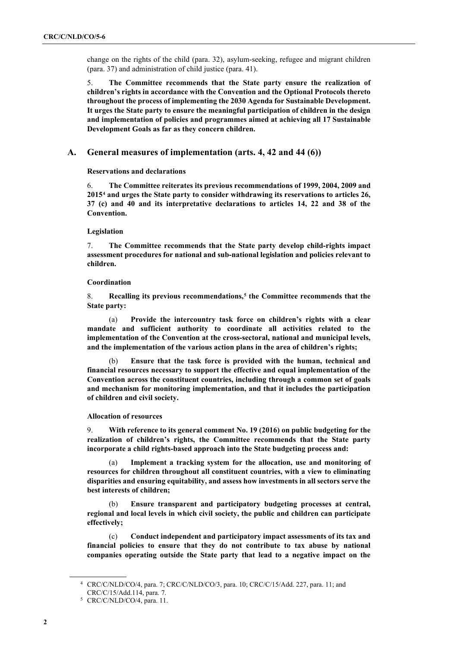change on the rights of the child (para. 32), asylum-seeking, refugee and migrant children (para. 37) and administration of child justice (para. 41).

5. **The Committee recommends that the State party ensure the realization of children's rights in accordance with the Convention and the Optional Protocols thereto throughout the process of implementing the 2030 Agenda for Sustainable Development. It urges the State party to ensure the meaningful participation of children in the design and implementation of policies and programmes aimed at achieving all 17 Sustainable Development Goals as far as they concern children.**

## **A. General measures of implementation (arts. 4, 42 and 44 (6))**

**Reservations and declarations**

6. **The Committee reiterates its previous recommendations of 1999, 2004, 2009 and 2015[4](#page-1-0) and urges the State party to consider withdrawing its reservations to articles 26, 37 (c) and 40 and its interpretative declarations to articles 14, 22 and 38 of the Convention.**

## **Legislation**

7. **The Committee recommends that the State party develop child-rights impact assessment procedures for national and sub-national legislation and policies relevant to children.**

### **Coordination**

8. **Recalling its previous recommendations, [5](#page-1-1) the Committee recommends that the State party:**

(a) **Provide the intercountry task force on children's rights with a clear mandate and sufficient authority to coordinate all activities related to the implementation of the Convention at the cross-sectoral, national and municipal levels, and the implementation of the various action plans in the area of children's rights;**

(b) **Ensure that the task force is provided with the human, technical and financial resources necessary to support the effective and equal implementation of the Convention across the constituent countries, including through a common set of goals and mechanism for monitoring implementation, and that it includes the participation of children and civil society.**

### **Allocation of resources**

9. **With reference to its general comment No. 19 (2016) on public budgeting for the realization of children's rights, the Committee recommends that the State party incorporate a child rights-based approach into the State budgeting process and:**

(a) **Implement a tracking system for the allocation, use and monitoring of resources for children throughout all constituent countries, with a view to eliminating disparities and ensuring equitability, and assess how investments in all sectors serve the best interests of children;**

(b) **Ensure transparent and participatory budgeting processes at central, regional and local levels in which civil society, the public and children can participate effectively;**

(c) **Conduct independent and participatory impact assessments of its tax and financial policies to ensure that they do not contribute to tax abuse by national companies operating outside the State party that lead to a negative impact on the** 

<span id="page-1-0"></span><sup>4</sup> CRC/C/NLD/CO/4, para. 7; CRC/C/NLD/CO/3, para. 10; CRC/C/15/Add. 227, para. 11; and CRC/C/15/Add.114, para. 7.

<span id="page-1-1"></span><sup>5</sup> CRC/C/NLD/CO/4, para. 11.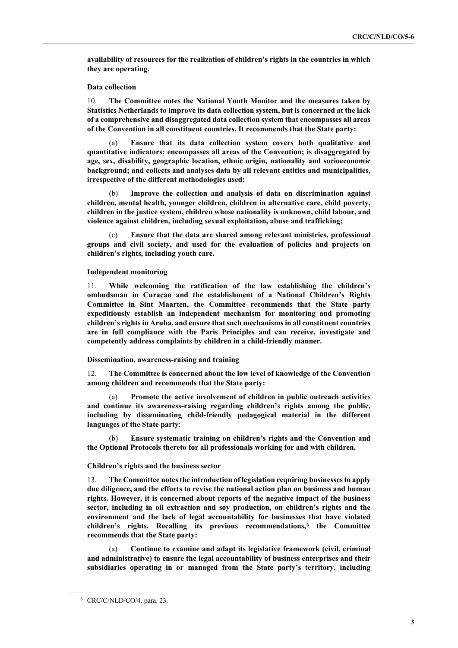**availability of resources for the realization of children's rights in the countries in which they are operating.**

#### **Data collection**

10. **The Committee notes the National Youth Monitor and the measures taken by Statistics Netherlands to improve its data collection system, but is concerned at the lack of a comprehensive and disaggregated data collection system that encompasses all areas of the Convention in all constituent countries. It recommends that the State party:**

(a) **Ensure that its data collection system covers both qualitative and quantitative indicators; encompasses all areas of the Convention; is disaggregated by age, sex, disability, geographic location, ethnic origin, nationality and socioeconomic background; and collects and analyses data by all relevant entities and municipalities, irrespective of the different methodologies used;**

(b) **Improve the collection and analysis of data on discrimination against children, mental health, younger children, children in alternative care, child poverty, children in the justice system, children whose nationality is unknown, child labour, and violence against children, including sexual exploitation, abuse and trafficking;** 

(c) **Ensure that the data are shared among relevant ministries, professional groups and civil society, and used for the evaluation of policies and projects on children's rights, including youth care.**

#### **Independent monitoring**

11. **While welcoming the ratification of the law establishing the children's ombudsman in Curaçao and the establishment of a National Children's Rights Committee in Sint Maarten, the Committee recommends that the State party expeditiously establish an independent mechanism for monitoring and promoting children's rights in Aruba, and ensure that such mechanisms in all constituent countries are in full compliance with the Paris Principles and can receive, investigate and competently address complaints by children in a child-friendly manner.**

### **Dissemination, awareness-raising and training**

12. **The Committee is concerned about the low level of knowledge of the Convention among children and recommends that the State party:**

Promote the active involvement of children in public outreach activities **and continue its awareness-raising regarding children's rights among the public, including by disseminating child-friendly pedagogical material in the different languages of the State party**;

(b) **Ensure systematic training on children's rights and the Convention and the Optional Protocols thereto for all professionals working for and with children.**

### **Children's rights and the business sector**

13. **The Committee notes the introduction of legislation requiring businesses to apply due diligence, and the efforts to revise the national action plan on business and human rights. However, it is concerned about reports of the negative impact of the business sector, including in oil extraction and soy production, on children's rights and the environment and the lack of legal accountability for businesses that have violated children's rights. Recalling its previous recommendations,[6](#page-2-0) the Committee recommends that the State party:**

(a) **Continue to examine and adapt its legislative framework (civil, criminal and administrative) to ensure the legal accountability of business enterprises and their subsidiaries operating in or managed from the State party's territory, including** 

<span id="page-2-0"></span><sup>6</sup> CRC/C/NLD/CO/4, para. 23.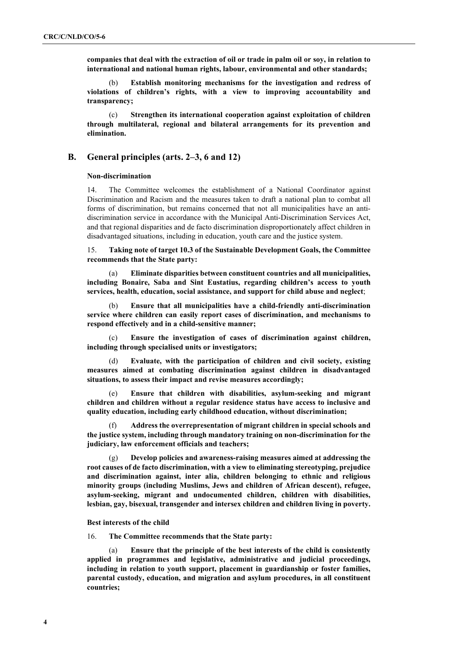**companies that deal with the extraction of oil or trade in palm oil or soy, in relation to international and national human rights, labour, environmental and other standards;** 

(b) **Establish monitoring mechanisms for the investigation and redress of violations of children's rights, with a view to improving accountability and transparency;**

(c) **Strengthen its international cooperation against exploitation of children through multilateral, regional and bilateral arrangements for its prevention and elimination.**

## **B. General principles (arts. 2–3, 6 and 12)**

### **Non-discrimination**

14. The Committee welcomes the establishment of a National Coordinator against Discrimination and Racism and the measures taken to draft a national plan to combat all forms of discrimination, but remains concerned that not all municipalities have an antidiscrimination service in accordance with the Municipal Anti-Discrimination Services Act, and that regional disparities and de facto discrimination disproportionately affect children in disadvantaged situations, including in education, youth care and the justice system.

15. **Taking note of target 10.3 of the Sustainable Development Goals, the Committee recommends that the State party:**

(a) **Eliminate disparities between constituent countries and all municipalities, including Bonaire, Saba and Sint Eustatius, regarding children's access to youth services, health, education, social assistance, and support for child abuse and neglect**;

(b) **Ensure that all municipalities have a child-friendly anti-discrimination service where children can easily report cases of discrimination, and mechanisms to respond effectively and in a child-sensitive manner;**

(c) **Ensure the investigation of cases of discrimination against children, including through specialised units or investigators;**

(d) **Evaluate, with the participation of children and civil society, existing measures aimed at combating discrimination against children in disadvantaged situations, to assess their impact and revise measures accordingly;**

(e) **Ensure that children with disabilities, asylum-seeking and migrant children and children without a regular residence status have access to inclusive and quality education, including early childhood education, without discrimination;**

(f) **Address the overrepresentation of migrant children in special schools and the justice system, including through mandatory training on non-discrimination for the judiciary, law enforcement officials and teachers;**

(g) **Develop policies and awareness-raising measures aimed at addressing the root causes of de facto discrimination, with a view to eliminating stereotyping, prejudice and discrimination against, inter alia, children belonging to ethnic and religious minority groups (including Muslims, Jews and children of African descent), refugee, asylum-seeking, migrant and undocumented children, children with disabilities, lesbian, gay, bisexual, transgender and intersex children and children living in poverty.**

#### **Best interests of the child**

16. **The Committee recommends that the State party:**

Ensure that the principle of the best interests of the child is consistently **applied in programmes and legislative, administrative and judicial proceedings, including in relation to youth support, placement in guardianship or foster families, parental custody, education, and migration and asylum procedures, in all constituent countries;**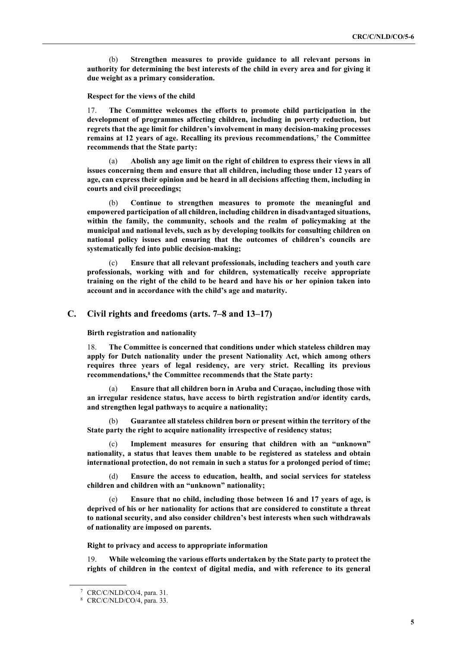(b) **Strengthen measures to provide guidance to all relevant persons in authority for determining the best interests of the child in every area and for giving it due weight as a primary consideration.**

**Respect for the views of the child**

17. **The Committee welcomes the efforts to promote child participation in the development of programmes affecting children, including in poverty reduction, but regrets that the age limit for children's involvement in many decision-making processes remains at 12 years of age. Recalling its previous recommendations, [7](#page-4-0) the Committee recommends that the State party:**

(a) **Abolish any age limit on the right of children to express their views in all issues concerning them and ensure that all children, including those under 12 years of age, can express their opinion and be heard in all decisions affecting them, including in courts and civil proceedings;**

(b) **Continue to strengthen measures to promote the meaningful and empowered participation of all children, including children in disadvantaged situations, within the family, the community, schools and the realm of policymaking at the municipal and national levels, such as by developing toolkits for consulting children on national policy issues and ensuring that the outcomes of children's councils are systematically fed into public decision-making;**

(c) **Ensure that all relevant professionals, including teachers and youth care professionals, working with and for children, systematically receive appropriate training on the right of the child to be heard and have his or her opinion taken into account and in accordance with the child's age and maturity.**

## **C. Civil rights and freedoms (arts. 7–8 and 13–17)**

**Birth registration and nationality**

18. **The Committee is concerned that conditions under which stateless children may apply for Dutch nationality under the present Nationality Act, which among others requires three years of legal residency, are very strict. Recalling its previous recommendations, [8](#page-4-1) the Committee recommends that the State party:**

(a) **Ensure that all children born in Aruba and Curaçao, including those with an irregular residence status, have access to birth registration and/or identity cards, and strengthen legal pathways to acquire a nationality;** 

(b) **Guarantee all stateless children born or present within the territory of the State party the right to acquire nationality irrespective of residency status;**

Implement measures for ensuring that children with an "unknown" **nationality, a status that leaves them unable to be registered as stateless and obtain international protection, do not remain in such a status for a prolonged period of time;**

(d) **Ensure the access to education, health, and social services for stateless children and children with an "unknown" nationality;**

Ensure that no child, including those between 16 and 17 years of age, is **deprived of his or her nationality for actions that are considered to constitute a threat to national security, and also consider children's best interests when such withdrawals of nationality are imposed on parents.**

**Right to privacy and access to appropriate information**

19. **While welcoming the various efforts undertaken by the State party to protect the rights of children in the context of digital media, and with reference to its general** 

<span id="page-4-1"></span><span id="page-4-0"></span><sup>7</sup> CRC/C/NLD/CO/4, para. 31.

<sup>8</sup> CRC/C/NLD/CO/4, para. 33.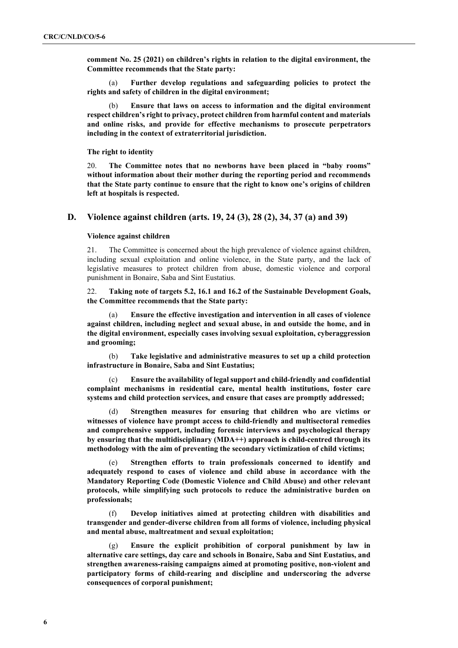**comment No. 25 (2021) on children's rights in relation to the digital environment, the Committee recommends that the State party:**

(a) **Further develop regulations and safeguarding policies to protect the rights and safety of children in the digital environment;**

(b) **Ensure that laws on access to information and the digital environment respect children's right to privacy, protect children from harmful content and materials and online risks, and provide for effective mechanisms to prosecute perpetrators including in the context of extraterritorial jurisdiction.**

**The right to identity**

20. **The Committee notes that no newborns have been placed in "baby rooms" without information about their mother during the reporting period and recommends that the State party continue to ensure that the right to know one's origins of children left at hospitals is respected.**

## **D. Violence against children (arts. 19, 24 (3), 28 (2), 34, 37 (a) and 39)**

#### **Violence against children**

21. The Committee is concerned about the high prevalence of violence against children, including sexual exploitation and online violence, in the State party, and the lack of legislative measures to protect children from abuse, domestic violence and corporal punishment in Bonaire, Saba and Sint Eustatius.

22. **Taking note of targets 5.2, 16.1 and 16.2 of the Sustainable Development Goals, the Committee recommends that the State party:**

(a) **Ensure the effective investigation and intervention in all cases of violence against children, including neglect and sexual abuse, in and outside the home, and in the digital environment, especially cases involving sexual exploitation, cyberaggression and grooming;**

(b) **Take legislative and administrative measures to set up a child protection infrastructure in Bonaire, Saba and Sint Eustatius;**

(c) **Ensure the availability of legal support and child-friendly and confidential complaint mechanisms in residential care, mental health institutions, foster care systems and child protection services, and ensure that cases are promptly addressed;**

Strengthen measures for ensuring that children who are victims or **witnesses of violence have prompt access to child-friendly and multisectoral remedies and comprehensive support, including forensic interviews and psychological therapy by ensuring that the multidisciplinary (MDA++) approach is child-centred through its methodology with the aim of preventing the secondary victimization of child victims;**

(e) **Strengthen efforts to train professionals concerned to identify and adequately respond to cases of violence and child abuse in accordance with the Mandatory Reporting Code (Domestic Violence and Child Abuse) and other relevant protocols, while simplifying such protocols to reduce the administrative burden on professionals;**

(f) **Develop initiatives aimed at protecting children with disabilities and transgender and gender-diverse children from all forms of violence, including physical and mental abuse, maltreatment and sexual exploitation;**

(g) **Ensure the explicit prohibition of corporal punishment by law in alternative care settings, day care and schools in Bonaire, Saba and Sint Eustatius, and strengthen awareness-raising campaigns aimed at promoting positive, non-violent and participatory forms of child-rearing and discipline and underscoring the adverse consequences of corporal punishment;**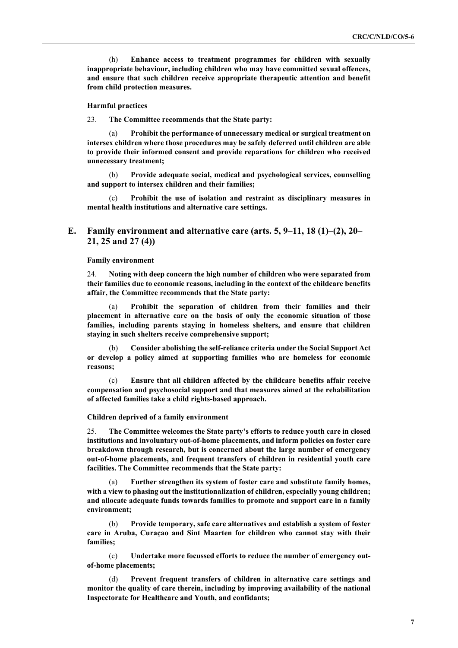(h) **Enhance access to treatment programmes for children with sexually inappropriate behaviour, including children who may have committed sexual offences, and ensure that such children receive appropriate therapeutic attention and benefit from child protection measures.**

#### **Harmful practices**

23. **The Committee recommends that the State party:**

Prohibit the performance of unnecessary medical or surgical treatment on **intersex children where those procedures may be safely deferred until children are able to provide their informed consent and provide reparations for children who received unnecessary treatment;**

(b) **Provide adequate social, medical and psychological services, counselling and support to intersex children and their families;**

(c) **Prohibit the use of isolation and restraint as disciplinary measures in mental health institutions and alternative care settings.**

## **E. Family environment and alternative care (arts. 5, 9–11, 18 (1)–(2), 20– 21, 25 and 27 (4))**

#### **Family environment**

24. **Noting with deep concern the high number of children who were separated from their families due to economic reasons, including in the context of the childcare benefits affair, the Committee recommends that the State party:**

(a) **Prohibit the separation of children from their families and their placement in alternative care on the basis of only the economic situation of those families, including parents staying in homeless shelters, and ensure that children staying in such shelters receive comprehensive support;**

(b) **Consider abolishing the self-reliance criteria under the Social Support Act or develop a policy aimed at supporting families who are homeless for economic reasons;**

(c) **Ensure that all children affected by the childcare benefits affair receive compensation and psychosocial support and that measures aimed at the rehabilitation of affected families take a child rights-based approach.**

#### **Children deprived of a family environment**

25. **The Committee welcomes the State party's efforts to reduce youth care in closed institutions and involuntary out-of-home placements, and inform policies on foster care breakdown through research, but is concerned about the large number of emergency out-of-home placements, and frequent transfers of children in residential youth care facilities. The Committee recommends that the State party:**

Further strengthen its system of foster care and substitute family homes, **with a view to phasing out the institutionalization of children, especially young children; and allocate adequate funds towards families to promote and support care in a family environment;**

(b) **Provide temporary, safe care alternatives and establish a system of foster care in Aruba, Curaçao and Sint Maarten for children who cannot stay with their families;**

(c) **Undertake more focussed efforts to reduce the number of emergency outof-home placements;**

(d) **Prevent frequent transfers of children in alternative care settings and monitor the quality of care therein, including by improving availability of the national Inspectorate for Healthcare and Youth, and confidants;**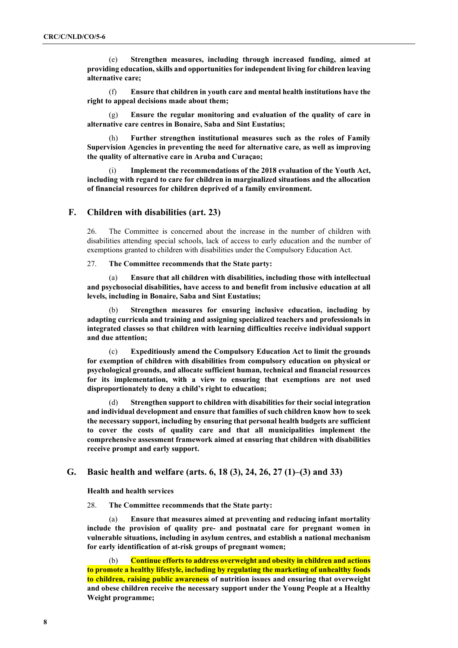(e) **Strengthen measures, including through increased funding, aimed at providing education, skills and opportunities for independent living for children leaving alternative care;**

(f) **Ensure that children in youth care and mental health institutions have the right to appeal decisions made about them;**

(g) **Ensure the regular monitoring and evaluation of the quality of care in alternative care centres in Bonaire, Saba and Sint Eustatius;**

(h) **Further strengthen institutional measures such as the roles of Family Supervision Agencies in preventing the need for alternative care, as well as improving the quality of alternative care in Aruba and Curaçao;**

Implement the recommendations of the 2018 evaluation of the Youth Act, **including with regard to care for children in marginalized situations and the allocation of financial resources for children deprived of a family environment.**

## **F. Children with disabilities (art. 23)**

26. The Committee is concerned about the increase in the number of children with disabilities attending special schools, lack of access to early education and the number of exemptions granted to children with disabilities under the Compulsory Education Act.

27. **The Committee recommends that the State party:**

(a) **Ensure that all children with disabilities, including those with intellectual and psychosocial disabilities, have access to and benefit from inclusive education at all levels, including in Bonaire, Saba and Sint Eustatius;**

(b) **Strengthen measures for ensuring inclusive education, including by adapting curricula and training and assigning specialized teachers and professionals in integrated classes so that children with learning difficulties receive individual support and due attention;**

(c) **Expeditiously amend the Compulsory Education Act to limit the grounds for exemption of children with disabilities from compulsory education on physical or psychological grounds, and allocate sufficient human, technical and financial resources for its implementation, with a view to ensuring that exemptions are not used disproportionately to deny a child's right to education;**

(d) **Strengthen support to children with disabilities for their social integration and individual development and ensure that families of such children know how to seek the necessary support, including by ensuring that personal health budgets are sufficient to cover the costs of quality care and that all municipalities implement the comprehensive assessment framework aimed at ensuring that children with disabilities receive prompt and early support.**

# **G. Basic health and welfare (arts. 6, 18 (3), 24, 26, 27 (1)–(3) and 33)**

**Health and health services**

28. **The Committee recommends that the State party:**

(a) **Ensure that measures aimed at preventing and reducing infant mortality include the provision of quality pre- and postnatal care for pregnant women in vulnerable situations, including in asylum centres, and establish a national mechanism for early identification of at-risk groups of pregnant women;**

(b) **Continue efforts to address overweight and obesity in children and actions to promote a healthy lifestyle, including by regulating the marketing of unhealthy foods to children, raising public awareness of nutrition issues and ensuring that overweight and obese children receive the necessary support under the Young People at a Healthy Weight programme;**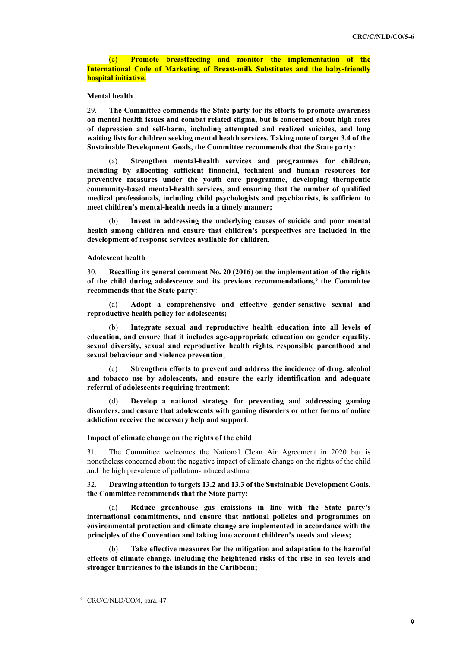(c) **Promote breastfeeding and monitor the implementation of the International Code of Marketing of Breast-milk Substitutes and the baby-friendly hospital initiative.**

## **Mental health**

29. **The Committee commends the State party for its efforts to promote awareness on mental health issues and combat related stigma, but is concerned about high rates of depression and self-harm, including attempted and realized suicides, and long waiting lists for children seeking mental health services. Taking note of target 3.4 of the Sustainable Development Goals, the Committee recommends that the State party:**

(a) **Strengthen mental-health services and programmes for children, including by allocating sufficient financial, technical and human resources for preventive measures under the youth care programme, developing therapeutic community-based mental-health services, and ensuring that the number of qualified medical professionals, including child psychologists and psychiatrists, is sufficient to meet children's mental-health needs in a timely manner;** 

(b) **Invest in addressing the underlying causes of suicide and poor mental health among children and ensure that children's perspectives are included in the development of response services available for children.**

## **Adolescent health**

30. **Recalling its general comment No. 20 (2016) on the implementation of the rights of the child during adolescence and its previous recommendations,[9](#page-8-0) the Committee recommends that the State party:**

(a) **Adopt a comprehensive and effective gender-sensitive sexual and reproductive health policy for adolescents;** 

(b) **Integrate sexual and reproductive health education into all levels of education, and ensure that it includes age-appropriate education on gender equality, sexual diversity, sexual and reproductive health rights, responsible parenthood and sexual behaviour and violence prevention**;

Strengthen efforts to prevent and address the incidence of drug, alcohol **and tobacco use by adolescents, and ensure the early identification and adequate referral of adolescents requiring treatment**;

(d) **Develop a national strategy for preventing and addressing gaming disorders, and ensure that adolescents with gaming disorders or other forms of online addiction receive the necessary help and support**.

#### **Impact of climate change on the rights of the child**

31. The Committee welcomes the National Clean Air Agreement in 2020 but is nonetheless concerned about the negative impact of climate change on the rights of the child and the high prevalence of pollution-induced asthma.

## 32. **Drawing attention to targets 13.2 and 13.3 of the Sustainable Development Goals, the Committee recommends that the State party:**

(a) **Reduce greenhouse gas emissions in line with the State party's international commitments, and ensure that national policies and programmes on environmental protection and climate change are implemented in accordance with the principles of the Convention and taking into account children's needs and views;**

(b) **Take effective measures for the mitigation and adaptation to the harmful effects of climate change, including the heightened risks of the rise in sea levels and stronger hurricanes to the islands in the Caribbean;**

<span id="page-8-0"></span><sup>&</sup>lt;sup>9</sup> CRC/C/NLD/CO/4, para. 47.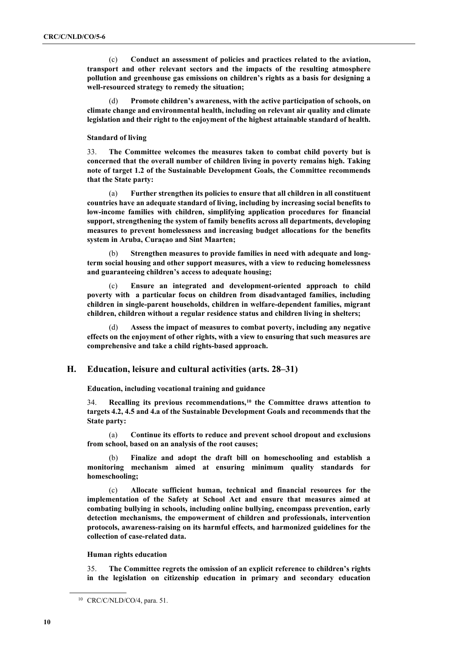(c) **Conduct an assessment of policies and practices related to the aviation, transport and other relevant sectors and the impacts of the resulting atmosphere pollution and greenhouse gas emissions on children's rights as a basis for designing a well-resourced strategy to remedy the situation;**

(d) **Promote children's awareness, with the active participation of schools, on climate change and environmental health, including on relevant air quality and climate legislation and their right to the enjoyment of the highest attainable standard of health.**

#### **Standard of living**

33. **The Committee welcomes the measures taken to combat child poverty but is concerned that the overall number of children living in poverty remains high. Taking note of target 1.2 of the Sustainable Development Goals, the Committee recommends that the State party:**

(a) **Further strengthen its policies to ensure that all children in all constituent countries have an adequate standard of living, including by increasing social benefits to low-income families with children, simplifying application procedures for financial support, strengthening the system of family benefits across all departments, developing measures to prevent homelessness and increasing budget allocations for the benefits system in Aruba, Curaçao and Sint Maarten;**

(b) **Strengthen measures to provide families in need with adequate and longterm social housing and other support measures, with a view to reducing homelessness and guaranteeing children's access to adequate housing;**

(c) **Ensure an integrated and development-oriented approach to child poverty with a particular focus on children from disadvantaged families, including children in single-parent households, children in welfare-dependent families, migrant children, children without a regular residence status and children living in shelters;**

Assess the impact of measures to combat poverty, including any negative **effects on the enjoyment of other rights, with a view to ensuring that such measures are comprehensive and take a child rights-based approach.**

## **H. Education, leisure and cultural activities (arts. 28–31)**

**Education, including vocational training and guidance**

34. **Recalling its previous recommendations,[10](#page-9-0) the Committee draws attention to targets 4.2, 4.5 and 4.a of the Sustainable Development Goals and recommends that the State party:**

(a) **Continue its efforts to reduce and prevent school dropout and exclusions from school, based on an analysis of the root causes;**

(b) **Finalize and adopt the draft bill on homeschooling and establish a monitoring mechanism aimed at ensuring minimum quality standards for homeschooling;**

(c) **Allocate sufficient human, technical and financial resources for the implementation of the Safety at School Act and ensure that measures aimed at combating bullying in schools, including online bullying, encompass prevention, early detection mechanisms, the empowerment of children and professionals, intervention protocols, awareness-raising on its harmful effects, and harmonized guidelines for the collection of case-related data.**

#### **Human rights education**

35. **The Committee regrets the omission of an explicit reference to children's rights in the legislation on citizenship education in primary and secondary education** 

<span id="page-9-0"></span><sup>10</sup> CRC/C/NLD/CO/4, para. 51.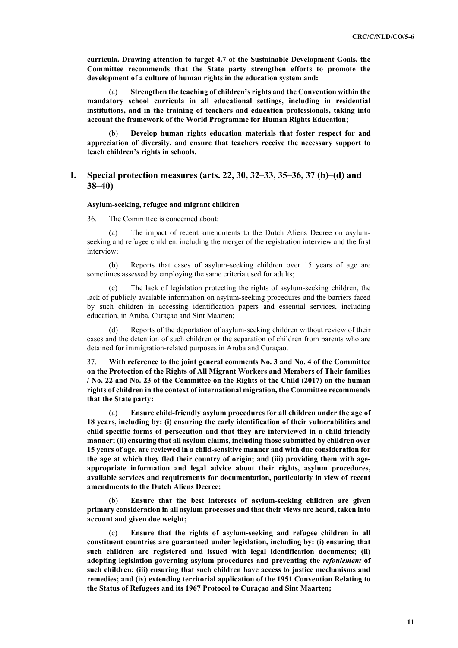**curricula. Drawing attention to target 4.7 of the Sustainable Development Goals, the Committee recommends that the State party strengthen efforts to promote the development of a culture of human rights in the education system and:**

(a) **Strengthen the teaching of children's rights and the Convention within the mandatory school curricula in all educational settings, including in residential institutions, and in the training of teachers and education professionals, taking into account the framework of the World Programme for Human Rights Education;**

(b) **Develop human rights education materials that foster respect for and appreciation of diversity, and ensure that teachers receive the necessary support to teach children's rights in schools.**

# **I. Special protection measures (arts. 22, 30, 32–33, 35–36, 37 (b)–(d) and 38–40)**

#### **Asylum-seeking, refugee and migrant children**

36. The Committee is concerned about:

(a) The impact of recent amendments to the Dutch Aliens Decree on asylumseeking and refugee children, including the merger of the registration interview and the first interview;

(b) Reports that cases of asylum-seeking children over 15 years of age are sometimes assessed by employing the same criteria used for adults;

(c) The lack of legislation protecting the rights of asylum-seeking children, the lack of publicly available information on asylum-seeking procedures and the barriers faced by such children in accessing identification papers and essential services, including education, in Aruba, Curaçao and Sint Maarten;

(d) Reports of the deportation of asylum-seeking children without review of their cases and the detention of such children or the separation of children from parents who are detained for immigration-related purposes in Aruba and Curaçao.

37. **With reference to the joint general comments No. 3 and No. 4 of the Committee on the Protection of the Rights of All Migrant Workers and Members of Their families / No. 22 and No. 23 of the Committee on the Rights of the Child (2017) on the human rights of children in the context of international migration, the Committee recommends that the State party:**

(a) **Ensure child-friendly asylum procedures for all children under the age of 18 years, including by: (i) ensuring the early identification of their vulnerabilities and child-specific forms of persecution and that they are interviewed in a child-friendly manner; (ii) ensuring that all asylum claims, including those submitted by children over 15 years of age, are reviewed in a child-sensitive manner and with due consideration for the age at which they fled their country of origin; and (iii) providing them with ageappropriate information and legal advice about their rights, asylum procedures, available services and requirements for documentation, particularly in view of recent amendments to the Dutch Aliens Decree;**

(b) **Ensure that the best interests of asylum-seeking children are given primary consideration in all asylum processes and that their views are heard, taken into account and given due weight;**

(c) **Ensure that the rights of asylum-seeking and refugee children in all constituent countries are guaranteed under legislation, including by: (i) ensuring that such children are registered and issued with legal identification documents; (ii) adopting legislation governing asylum procedures and preventing the** *refoulement* **of such children; (iii) ensuring that such children have access to justice mechanisms and remedies; and (iv) extending territorial application of the 1951 Convention Relating to the Status of Refugees and its 1967 Protocol to Curaçao and Sint Maarten;**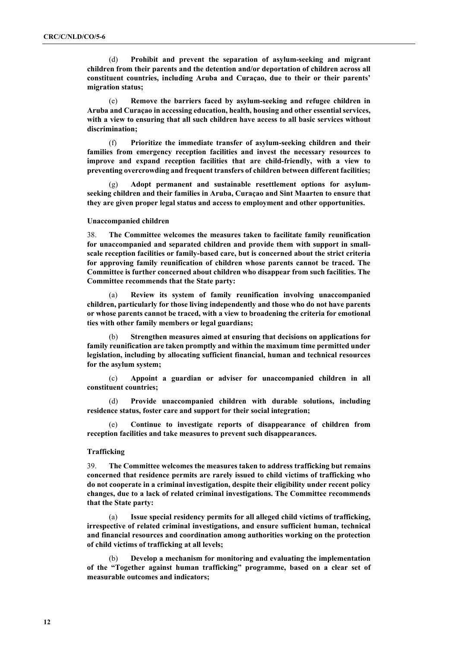(d) **Prohibit and prevent the separation of asylum-seeking and migrant children from their parents and the detention and/or deportation of children across all constituent countries, including Aruba and Curaçao, due to their or their parents' migration status;**

(e) **Remove the barriers faced by asylum-seeking and refugee children in Aruba and Curaçao in accessing education, health, housing and other essential services, with a view to ensuring that all such children have access to all basic services without discrimination;**

(f) **Prioritize the immediate transfer of asylum-seeking children and their families from emergency reception facilities and invest the necessary resources to improve and expand reception facilities that are child-friendly, with a view to preventing overcrowding and frequent transfers of children between different facilities;**

(g) **Adopt permanent and sustainable resettlement options for asylumseeking children and their families in Aruba, Curaçao and Sint Maarten to ensure that they are given proper legal status and access to employment and other opportunities.**

### **Unaccompanied children**

38. **The Committee welcomes the measures taken to facilitate family reunification for unaccompanied and separated children and provide them with support in smallscale reception facilities or family-based care, but is concerned about the strict criteria for approving family reunification of children whose parents cannot be traced. The Committee is further concerned about children who disappear from such facilities. The Committee recommends that the State party:**

(a) **Review its system of family reunification involving unaccompanied children, particularly for those living independently and those who do not have parents or whose parents cannot be traced, with a view to broadening the criteria for emotional ties with other family members or legal guardians;** 

(b) **Strengthen measures aimed at ensuring that decisions on applications for family reunification are taken promptly and within the maximum time permitted under legislation, including by allocating sufficient financial, human and technical resources for the asylum system;**

(c) **Appoint a guardian or adviser for unaccompanied children in all constituent countries;**

(d) **Provide unaccompanied children with durable solutions, including residence status, foster care and support for their social integration;**

(e) **Continue to investigate reports of disappearance of children from reception facilities and take measures to prevent such disappearances.**

## **Trafficking**

39. **The Committee welcomes the measures taken to address trafficking but remains concerned that residence permits are rarely issued to child victims of trafficking who do not cooperate in a criminal investigation, despite their eligibility under recent policy changes, due to a lack of related criminal investigations. The Committee recommends that the State party:**

(a) **Issue special residency permits for all alleged child victims of trafficking, irrespective of related criminal investigations, and ensure sufficient human, technical and financial resources and coordination among authorities working on the protection of child victims of trafficking at all levels;**

(b) **Develop a mechanism for monitoring and evaluating the implementation of the "Together against human trafficking" programme, based on a clear set of measurable outcomes and indicators;**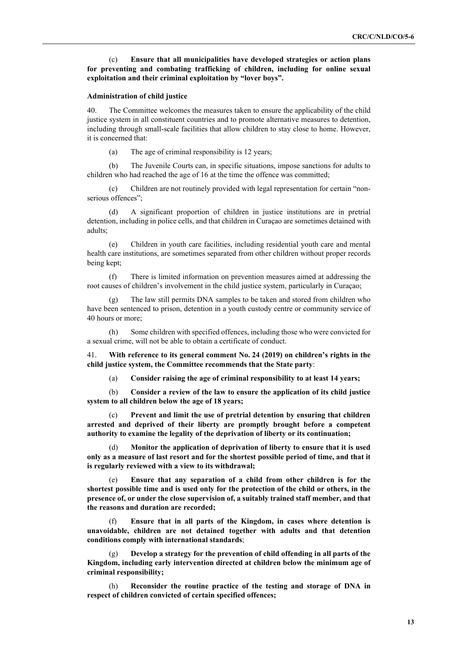(c) **Ensure that all municipalities have developed strategies or action plans for preventing and combating trafficking of children, including for online sexual exploitation and their criminal exploitation by "lover boys".**

#### **Administration of child justice**

40. The Committee welcomes the measures taken to ensure the applicability of the child justice system in all constituent countries and to promote alternative measures to detention, including through small-scale facilities that allow children to stay close to home. However, it is concerned that:

(a) The age of criminal responsibility is 12 years;

(b) The Juvenile Courts can, in specific situations, impose sanctions for adults to children who had reached the age of 16 at the time the offence was committed;

(c) Children are not routinely provided with legal representation for certain "nonserious offences";

(d) A significant proportion of children in justice institutions are in pretrial detention, including in police cells, and that children in Curaçao are sometimes detained with adults;

(e) Children in youth care facilities, including residential youth care and mental health care institutions, are sometimes separated from other children without proper records being kept;

(f) There is limited information on prevention measures aimed at addressing the root causes of children's involvement in the child justice system, particularly in Curaçao;

The law still permits DNA samples to be taken and stored from children who have been sentenced to prison, detention in a youth custody centre or community service of 40 hours or more;

(h) Some children with specified offences, including those who were convicted for a sexual crime, will not be able to obtain a certificate of conduct.

41. **With reference to its general comment No. 24 (2019) on children's rights in the child justice system, the Committee recommends that the State party**:

(a) **Consider raising the age of criminal responsibility to at least 14 years;**

(b) **Consider a review of the law to ensure the application of its child justice system to all children below the age of 18 years;**

(c) **Prevent and limit the use of pretrial detention by ensuring that children arrested and deprived of their liberty are promptly brought before a competent authority to examine the legality of the deprivation of liberty or its continuation;**

(d) **Monitor the application of deprivation of liberty to ensure that it is used only as a measure of last resort and for the shortest possible period of time, and that it is regularly reviewed with a view to its withdrawal;**

(e) **Ensure that any separation of a child from other children is for the shortest possible time and is used only for the protection of the child or others, in the presence of, or under the close supervision of, a suitably trained staff member, and that the reasons and duration are recorded;**

(f) **Ensure that in all parts of the Kingdom, in cases where detention is unavoidable, children are not detained together with adults and that detention conditions comply with international standards**;

(g) **Develop a strategy for the prevention of child offending in all parts of the Kingdom, including early intervention directed at children below the minimum age of criminal responsibility;**

(h) **Reconsider the routine practice of the testing and storage of DNA in respect of children convicted of certain specified offences;**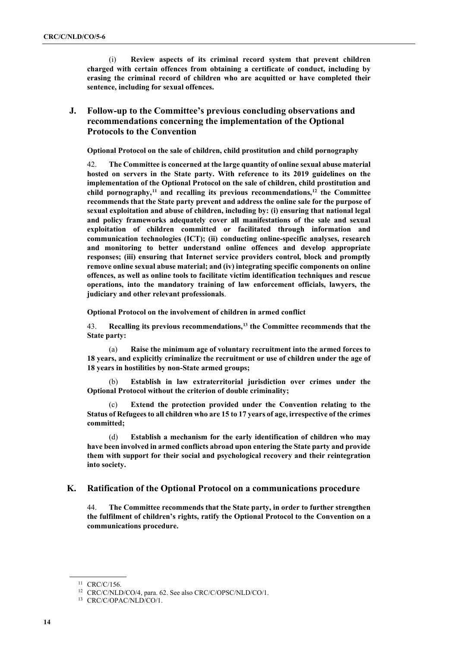(i) **Review aspects of its criminal record system that prevent children charged with certain offences from obtaining a certificate of conduct, including by erasing the criminal record of children who are acquitted or have completed their sentence, including for sexual offences.**

# **J. Follow-up to the Committee's previous concluding observations and recommendations concerning the implementation of the Optional Protocols to the Convention**

**Optional Protocol on the sale of children, child prostitution and child pornography**

42. **The Committee is concerned at the large quantity of online sexual abuse material hosted on servers in the State party. With reference to its 2019 guidelines on the implementation of the Optional Protocol on the sale of children, child prostitution and child pornography,[11](#page-13-0) and recalling its previous recommendations, [12](#page-13-1) the Committee recommends that the State party prevent and address the online sale for the purpose of sexual exploitation and abuse of children, including by: (i) ensuring that national legal and policy frameworks adequately cover all manifestations of the sale and sexual exploitation of children committed or facilitated through information and communication technologies (ICT); (ii) conducting online-specific analyses, research and monitoring to better understand online offences and develop appropriate responses; (iii) ensuring that Internet service providers control, block and promptly remove online sexual abuse material; and (iv) integrating specific components on online offences, as well as online tools to facilitate victim identification techniques and rescue operations, into the mandatory training of law enforcement officials, lawyers, the judiciary and other relevant professionals**.

**Optional Protocol on the involvement of children in armed conflict**

43. **Recalling its previous recommendations, [13](#page-13-2) the Committee recommends that the State party:**

(a) **Raise the minimum age of voluntary recruitment into the armed forces to 18 years, and explicitly criminalize the recruitment or use of children under the age of 18 years in hostilities by non-State armed groups;**

(b) **Establish in law extraterritorial jurisdiction over crimes under the Optional Protocol without the criterion of double criminality;**

(c) **Extend the protection provided under the Convention relating to the Status of Refugees to all children who are 15 to 17 years of age, irrespective of the crimes committed;**

(d) **Establish a mechanism for the early identification of children who may have been involved in armed conflicts abroad upon entering the State party and provide them with support for their social and psychological recovery and their reintegration into society.**

## **K. Ratification of the Optional Protocol on a communications procedure**

44. **The Committee recommends that the State party, in order to further strengthen the fulfilment of children's rights, ratify the Optional Protocol to the Convention on a communications procedure.**

<span id="page-13-0"></span><sup>11</sup> CRC/C/156.

<sup>12</sup> CRC/C/NLD/CO/4, para. 62. See also CRC/C/OPSC/NLD/CO/1.

<span id="page-13-2"></span><span id="page-13-1"></span><sup>13</sup> CRC/C/OPAC/NLD/CO/1.